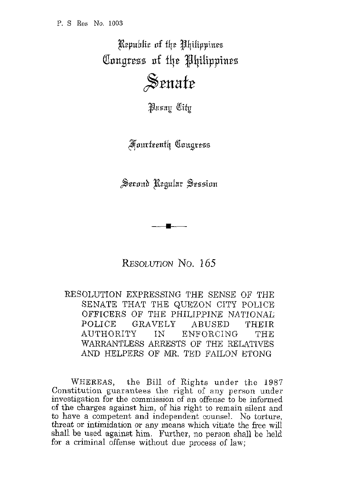Republic of the Philippines Congress of the Philippines Senate

Pasay City

**Fourteenth Congress** 

Serond Regular Session

RESOLUTION NO. 165

RESOLUTION EXPRESSING THE SENSE OF THE SENATE THAT THE QUEZON CITY POLICE OFFICERS OF THE PHILIPPINE NATIONAL POLICE GRAVELY ABUSED THEIR AUTHORITY IN ENFORCING THE WARRANTLESS ARRESTS OF THE RELATIVES AND HELPERS OF MR. TED FAILON ETONG

WHEREAS, the Bill of Rights under the 1987 Constitution guarantees the right of any person under investigation for the commission of an offense to be informed of the charges against him, of his right to remain silent and to have a competent and independent counsel. No torture, threat or intimidation or any means which vitiate the free wiU shall be used against him. Further, no person shall be held for a criminal offense without due process of law;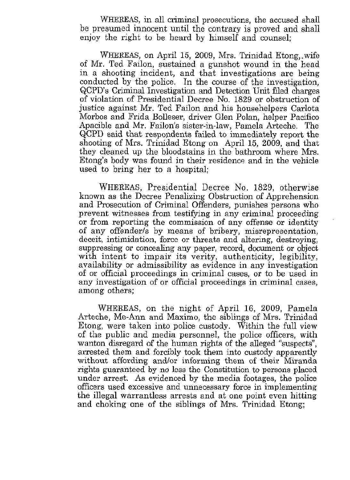WHEREAS, in all criminal prosecutions, the accused shall be presumed innocent until the contrary is proved and shall enjoy the right to be heard by himself and counsel;

WHEREAS, on April 15, 2009, Mrs. Trinidad Etong,.wife of Mr. Ted Failon, sustained a gunshot wound in the head in a shooting incident, and that investigations are being conducted by the police. In the course of the investigation, QCPDs Criminal Investigation and Detection Unit filed charges of violation of Presidential Decree No. 1829 or obstruction of justice against Mr. Ted Failon and his househelpers Carlota Morbos and Frida Bolleser, driver Glen Polan, helper Pacific0 Apacible and Mr. Failon's sister-in-law, Pamela Arteche. The QCPD said that resporidents failed to immediately report the shooting of Mrs. Trinidad Etong on April 15, 2009, and that they cleaned up the bloodstains in the bathroom where Mrs. Etong's body was found in their residence and in the vehicle used to bring her to a hospital;

WHEREAS, Presidential Decree No. 1829, otherwise known as the Decree Penalizing Obstruction of Apprehension and Prosecution of Criminal Offenders, punishes persons who prevent witnesses from testifying in any criminal proceeding or from reporting the commission of any offense or identity of any offenderls by means of bribery, misrepresentation, deceit, intimidation, force or threats and altering, destroying, suppressing or concealing any paper, record, document or object with intent to impair its verity, authenticity, legibility, availability or admissibility as evidence in any investigation of or official proceedings in criminal cases, or to be used in any investigation of or official proceedings in criminal cases, among others;

WHEREAS, on the night of April 16, 2009, Pamela Arteche, Me-Ann and Maximo, the siblings of Mrs. Trinidad Etong, were taken into police custody. Within the full view of the public and media personnel, the police officers, with wanton disregard of the human rights of the alleged "suspects", arrested them and forcibly took them into custody apparently without affording and/or informing them of their Miranda rights guaranteed by no less the Constitution **to** persons placed under arrest. As evidenced by the media footages, the police officers used excessive and unnecessary force in implementing the illegal warrantless arrests and at one point even hitting and choking one of the siblings of Mrs. Trinidad Etong;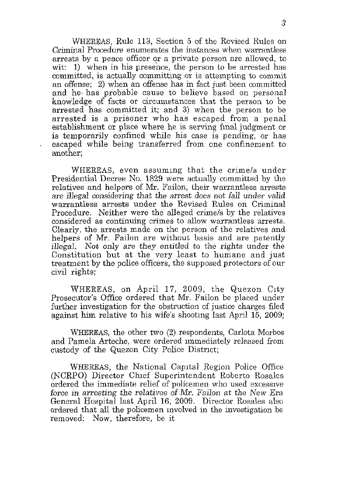WHEREAS, Rule **113,** Section 5 of the Revised Rules on Criminal Procedure enumerates the instances when warrantless arrests by a peace officer qr a private person are allowed, to wit: 1) when in his presence, the person to be arrested has committed, is actually committing or is attempting to commit an offense; 2) when an offense has in fact just been committed and he, has probable cause to believe based on personal knowledge of facts or circumstances that the person to be arrested has committed it; and **3)** when the person to be arrested is a prisoner who has escaped from a penal establishment or place where he is serving final judgment or is temporarily confined while his case is pending, or has escaped while being transferred from one confinement to another;

.

WHEREAS, even assuming that the crime/s under Presidential Decree No. 1829 were actually committed by the relatives and helpers of Mr. Failon, their warrantless arrests are illegal considering that the arrest does not fall under valid warrantless arrests under the Revised Rules on Criminal Procedure. Neither were the alleged crime/s by the relatives considered as continuing crimes to allow warrantless arrests. Clearly, the arrests made on the person of the relatives and helpers of Mr. Failon are without basis and are patently illegal. Not only are they entitled to the rights under the Constitution but at the very least to humane and just treatment by the police officers, the supposed protectors of our civil rights:

WHEREAS, on April 17, 2009, the Quezon City Prosecutor's Office ordered that Mr. Failon be placed under further investigation for the obstruction of justice charges filed against him relative to his wife's shooting last April 15, 2009;

WHEREAS, the other two **(2)** respondents, Carlota Morbos and Pamela Arteche, were ordered immediately released from custody of the Quezon City Police District;

WHEREAS, the National Capital Region Police Office (NCRPO) Director Chief Superintendent Roberto Rosales ordered the immediate relief of policemen who used excessive force in arresting the relatives of Mr. Failon at the New Era General Hospital last April 16, 2009. Director Rosales also ordered that all the policemen involved in the investigation be removed: Now, therefore, be it